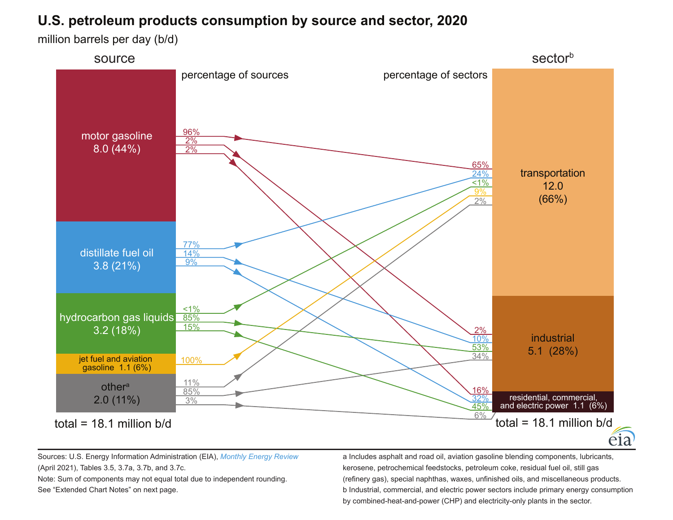## **U.S. petroleum products consumption by source and sector, 2020**

million barrels per day (b/d)



Sources: U.S. Energy Information Administration (EIA), *[Monthly Energy Review](https://www.eia.gov/totalenergy/data/monthly/)* (April 2021), Tables 3.5, 3.7a, 3.7b, and 3.7c. Note: Sum of components may not equal total due to independent rounding.

See "Extended Chart Notes" on next page.

a Includes asphalt and road oil, aviation gasoline blending components, lubricants, kerosene, petrochemical feedstocks, petroleum coke, residual fuel oil, still gas (refinery gas), special naphthas, waxes, unfinished oils, and miscellaneous products. b Industrial, commercial, and electric power sectors include primary energy consumption by combined-heat-and-power (CHP) and electricity-only plants in the sector.